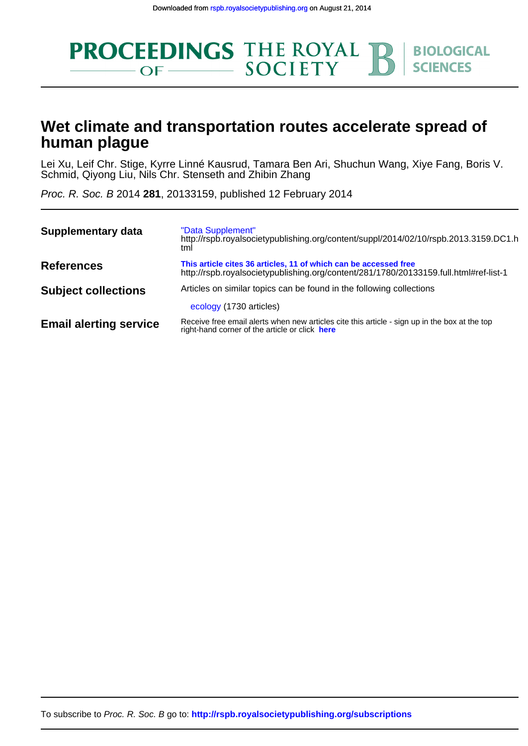

# **human plague Wet climate and transportation routes accelerate spread of**

Schmid, Qiyong Liu, Nils Chr. Stenseth and Zhibin Zhang Lei Xu, Leif Chr. Stige, Kyrre Linné Kausrud, Tamara Ben Ari, Shuchun Wang, Xiye Fang, Boris V.

Proc. R. Soc. B 2014 **281**, 20133159, published 12 February 2014

| Supplementary data            | "Data Supplement"<br>http://rspb.royalsocietypublishing.org/content/suppl/2014/02/10/rspb.2013.3159.DC1.h<br>tml                                          |
|-------------------------------|-----------------------------------------------------------------------------------------------------------------------------------------------------------|
| <b>References</b>             | This article cites 36 articles, 11 of which can be accessed free<br>http://rspb.royalsocietypublishing.org/content/281/1780/20133159.full.html#ref-list-1 |
| <b>Subject collections</b>    | Articles on similar topics can be found in the following collections<br>ecology (1730 articles)                                                           |
| <b>Email alerting service</b> | Receive free email alerts when new articles cite this article - sign up in the box at the top<br>right-hand corner of the article or click here           |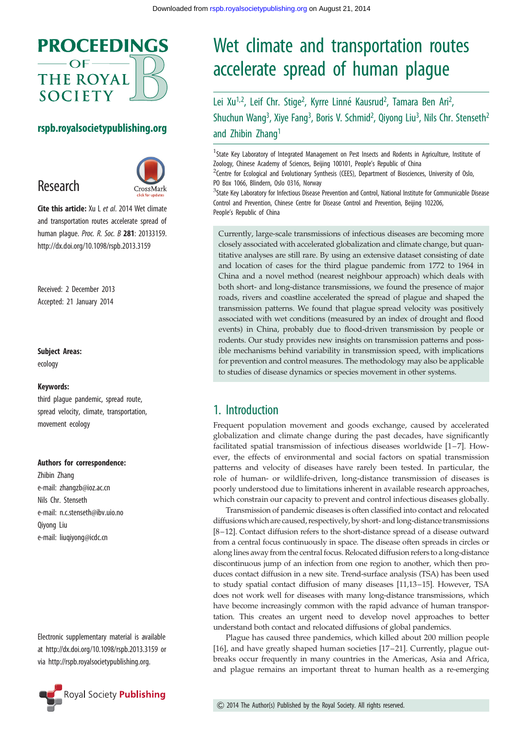

## rspb.royalsocietypublishing.org





Cite this article: Xu L et al. 2014 Wet climate and transportation routes accelerate spread of human plague. Proc. R. Soc. B 281: 20133159. http://dx.doi.org/10.1098/rspb.2013.3159

Received: 2 December 2013 Accepted: 21 January 2014

#### Subject Areas:

ecology

#### Keywords:

third plague pandemic, spread route, spread velocity, climate, transportation, movement ecology

#### Authors for correspondence:

Zhibin Zhang e-mail: [zhangzb@ioz.ac.cn](mailto:zhangzb@ioz.ac.cn) Nils Chr. Stenseth e-mail: [n.c.stenseth@ibv.uio.no](mailto:n.c.stenseth@ibv.uio.no) Qiyong Liu e-mail: [liuqiyong@icdc.cn](mailto:liuqiyong@icdc.cn)

Electronic supplementary material is available at<http://dx.doi.org/10.1098/rspb.2013.3159> or via<http://rspb.royalsocietypublishing.org>.



# Wet climate and transportation routes accelerate spread of human plague

Lei Xu<sup>1,2</sup>, Leif Chr. Stige<sup>2</sup>, Kyrre Linné Kausrud<sup>2</sup>, Tamara Ben Ari<sup>2</sup> .<br>, Shuchun Wang<sup>3</sup>, Xiye Fang<sup>3</sup>, Boris V. Schmid<sup>2</sup>, Qiyong Liu<sup>3</sup>, Nils Chr. Stenseth<sup>2</sup> and Zhibin Zhang1

<sup>1</sup>State Key Laboratory of Integrated Management on Pest Insects and Rodents in Agriculture, Institute of Zoology, Chinese Academy of Sciences, Beijing 100101, People's Republic of China <sup>2</sup>Centre for Ecological and Evolutionary Synthesis (CEES), Department of Biosciences, University of Oslo,

PO Box 1066, Blindern, Oslo 0316, Norway

<sup>3</sup>State Key Laboratory for Infectious Disease Prevention and Control, National Institute for Communicable Disease Control and Prevention, Chinese Centre for Disease Control and Prevention, Beijing 102206, People's Republic of China

Currently, large-scale transmissions of infectious diseases are becoming more closely associated with accelerated globalization and climate change, but quantitative analyses are still rare. By using an extensive dataset consisting of date and location of cases for the third plague pandemic from 1772 to 1964 in China and a novel method (nearest neighbour approach) which deals with both short- and long-distance transmissions, we found the presence of major roads, rivers and coastline accelerated the spread of plague and shaped the transmission patterns. We found that plague spread velocity was positively associated with wet conditions (measured by an index of drought and flood events) in China, probably due to flood-driven transmission by people or rodents. Our study provides new insights on transmission patterns and possible mechanisms behind variability in transmission speed, with implications for prevention and control measures. The methodology may also be applicable to studies of disease dynamics or species movement in other systems.

# 1. Introduction

Frequent population movement and goods exchange, caused by accelerated globalization and climate change during the past decades, have significantly facilitated spatial transmission of infectious diseases worldwide  $[1–7]$  $[1–7]$ . However, the effects of environmental and social factors on spatial transmission patterns and velocity of diseases have rarely been tested. In particular, the role of human- or wildlife-driven, long-distance transmission of diseases is poorly understood due to limitations inherent in available research approaches, which constrain our capacity to prevent and control infectious diseases globally.

Transmission of pandemic diseases is often classified into contact and relocated diffusions which are caused, respectively, by short- and long-distance transmissions [[8](#page-8-0)–[12](#page-8-0)]. Contact diffusion refers to the short-distance spread of a disease outward from a central focus continuously in space. The disease often spreads in circles or along lines away from the central focus. Relocated diffusion refers to a long-distance discontinuous jump of an infection from one region to another, which then produces contact diffusion in a new site. Trend-surface analysis (TSA) has been used to study spatial contact diffusion of many diseases [\[11,13](#page-8-0)–[15\]](#page-8-0). However, TSA does not work well for diseases with many long-distance transmissions, which have become increasingly common with the rapid advance of human transportation. This creates an urgent need to develop novel approaches to better understand both contact and relocated diffusions of global pandemics.

Plague has caused three pandemics, which killed about 200 million people [[16\]](#page-8-0), and have greatly shaped human societies [\[17](#page-8-0)-[21\]](#page-8-0). Currently, plague outbreaks occur frequently in many countries in the Americas, Asia and Africa, and plague remains an important threat to human health as a re-emerging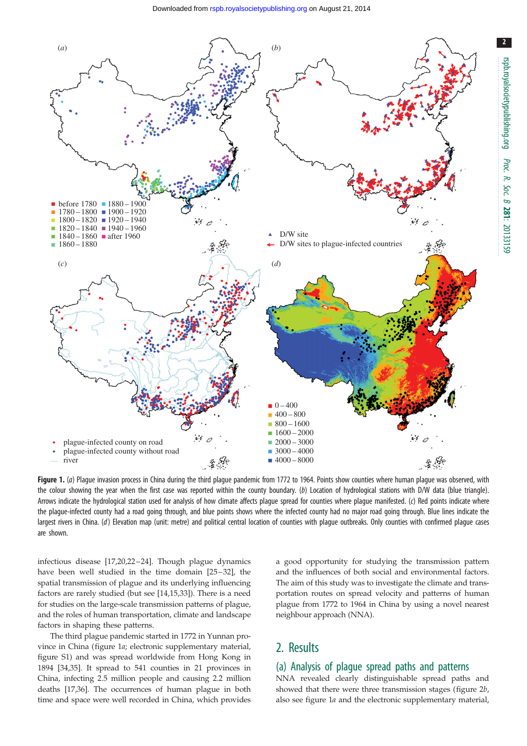<span id="page-2-0"></span>

Figure 1. (a) Plague invasion process in China during the third plague pandemic from 1772 to 1964. Points show counties where human plague was observed, with the colour showing the year when the first case was reported within the county boundary. (b) Location of hydrological stations with D/W data (blue triangle). Arrows indicate the hydrological station used for analysis of how climate affects plague spread for counties where plague manifested. (c) Red points indicate where the plague-infected county had a road going through, and blue points shows where the infected county had no major road going through. Blue lines indicate the largest rivers in China. (d) Elevation map (unit: metre) and political central location of counties with plague outbreaks. Only counties with confirmed plague cases are shown.

infectious disease [\[17](#page-8-0),[20,22](#page-8-0) –[24](#page-8-0)]. Though plague dynamics have been well studied in the time domain [[25](#page-8-0)-[32](#page-9-0)], the spatial transmission of plague and its underlying influencing factors are rarely studied (but see [[14,15](#page-8-0)[,33](#page-9-0)]). There is a need for studies on the large-scale transmission patterns of plague, and the roles of human transportation, climate and landscape factors in shaping these patterns.

The third plague pandemic started in 1772 in Yunnan province in China (figure 1a; electronic supplementary material, figure S1) and was spread worldwide from Hong Kong in 1894 [\[34,35](#page-9-0)]. It spread to 541 counties in 21 provinces in China, infecting 2.5 million people and causing 2.2 million deaths [[17,](#page-8-0)[36\]](#page-9-0). The occurrences of human plague in both time and space were well recorded in China, which provides

a good opportunity for studying the transmission pattern and the influences of both social and environmental factors. The aim of this study was to investigate the climate and transportation routes on spread velocity and patterns of human plague from 1772 to 1964 in China by using a novel nearest neighbour approach (NNA).

## 2. Results

## (a) Analysis of plague spread paths and patterns

NNA revealed clearly distinguishable spread paths and showed that there were three transmission stages ([figure 2](#page-3-0)b, also see figure 1a and the electronic supplementary material,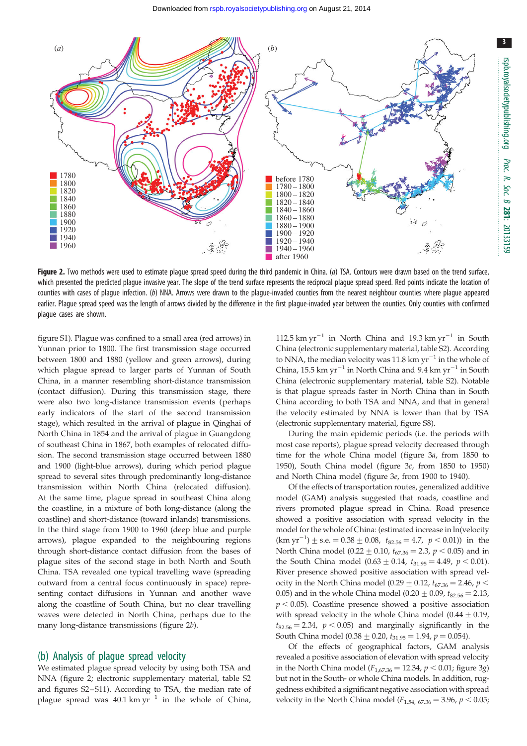<span id="page-3-0"></span>

Figure 2. Two methods were used to estimate plague spread speed during the third pandemic in China. (a) TSA. Contours were drawn based on the trend surface, which presented the predicted plague invasive year. The slope of the trend surface represents the reciprocal plague spread speed. Red points indicate the location of counties with cases of plague infection. (b) NNA. Arrows were drawn to the plague-invaded counties from the nearest neighbour counties where plague appeared earlier. Plague spread speed was the length of arrows divided by the difference in the first plague-invaded year between the counties. Only counties with confirmed plague cases are shown.

figure S1). Plague was confined to a small area (red arrows) in Yunnan prior to 1800. The first transmission stage occurred between 1800 and 1880 (yellow and green arrows), during which plague spread to larger parts of Yunnan of South China, in a manner resembling short-distance transmission (contact diffusion). During this transmission stage, there were also two long-distance transmission events (perhaps early indicators of the start of the second transmission stage), which resulted in the arrival of plague in Qinghai of North China in 1854 and the arrival of plague in Guangdong of southeast China in 1867, both examples of relocated diffusion. The second transmission stage occurred between 1880 and 1900 (light-blue arrows), during which period plague spread to several sites through predominantly long-distance transmission within North China (relocated diffusion). At the same time, plague spread in southeast China along the coastline, in a mixture of both long-distance (along the coastline) and short-distance (toward inlands) transmissions. In the third stage from 1900 to 1960 (deep blue and purple arrows), plague expanded to the neighbouring regions through short-distance contact diffusion from the bases of plague sites of the second stage in both North and South China. TSA revealed one typical travelling wave (spreading outward from a central focus continuously in space) representing contact diffusions in Yunnan and another wave along the coastline of South China, but no clear travelling waves were detected in North China, perhaps due to the many long-distance transmissions (figure 2b).

#### (b) Analysis of plague spread velocity

We estimated plague spread velocity by using both TSA and NNA (figure 2; electronic supplementary material, table S2 and figures S2–S11). According to TSA, the median rate of plague spread was  $40.1 \text{ km yr}^{-1}$  in the whole of China, 112.5 km  $yr^{-1}$  in North China and 19.3 km  $vr^{-1}$  in South China (electronic supplementary material, table S2). According to NNA, the median velocity was 11.8 km  $yr^{-1}$  in the whole of China, 15.5 km  $yr^{-1}$  in North China and 9.4 km  $yr^{-1}$  in South China (electronic supplementary material, table S2). Notable is that plague spreads faster in North China than in South China according to both TSA and NNA, and that in general the velocity estimated by NNA is lower than that by TSA (electronic supplementary material, figure S8).

During the main epidemic periods (i.e. the periods with most case reports), plague spread velocity decreased through time for the whole China model [\(figure 3](#page-4-0)a, from 1850 to 1950), South China model ([figure 3](#page-4-0)c, from 1850 to 1950) and North China model [\(figure 3](#page-4-0)e, from 1900 to 1940).

Of the effects of transportation routes, generalized additive model (GAM) analysis suggested that roads, coastline and rivers promoted plague spread in China. Road presence showed a positive association with spread velocity in the model for the whole of China: (estimated increase in ln(velocity  $(km yr^{-1}) \pm s.e. = 0.38 \pm 0.08$ ,  $t_{82.56} = 4.7$ ,  $p < 0.01$ )) in the North China model (0.22  $\pm$  0.10,  $t_{67.36} = 2.3$ ,  $p < 0.05$ ) and in the South China model  $(0.63 \pm 0.14, t_{31.95} = 4.49, p < 0.01)$ . River presence showed positive association with spread velocity in the North China model (0.29  $\pm$  0.12,  $t_{67.36} = 2.46$ ,  $p <$ 0.05) and in the whole China model  $(0.20 \pm 0.09, t_{82.56} = 2.13,$  $p < 0.05$ ). Coastline presence showed a positive association with spread velocity in the whole China model  $(0.44 + 0.19)$ ,  $t_{82.56} = 2.34$ ,  $p < 0.05$ ) and marginally significantly in the South China model (0.38  $\pm$  0.20,  $t_{31.95}$  = 1.94,  $p$  = 0.054).

Of the effects of geographical factors, GAM analysis revealed a positive association of elevation with spread velocity in the North China model ( $F_{1,67,36} = 12.34$ ,  $p < 0.01$ ; [figure 3](#page-4-0)g) but not in the South- or whole China models. In addition, ruggedness exhibited a significant negative association with spread velocity in the North China model ( $F_{1.54, 67.36} = 3.96, p < 0.05;$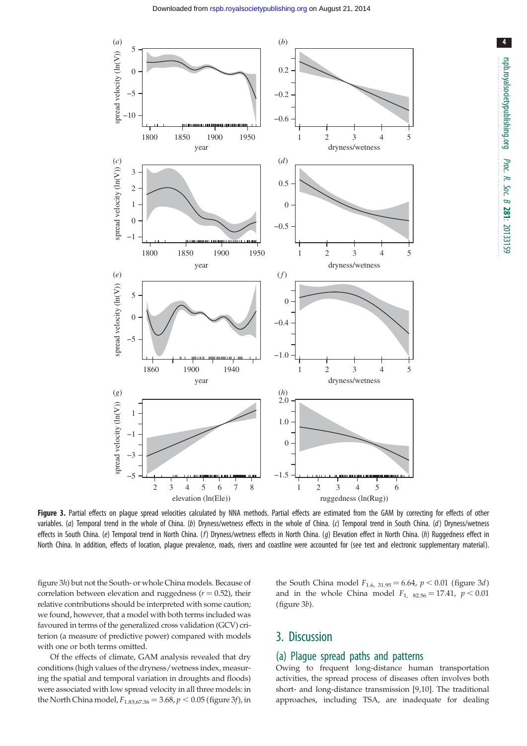<span id="page-4-0"></span>

rspb.royalsocietypublishing.org Proc. R. Soc. $\sigma$ 281: 20133159

Figure 3. Partial effects on plague spread velocities calculated by NNA methods. Partial effects are estimated from the GAM by correcting for effects of other variables. (a) Temporal trend in the whole of China. (b) Dryness/wetness effects in the whole of China. (c) Temporal trend in South China. (d) Dryness/wetness effects in South China. (e) Temporal trend in North China. (f) Dryness/wetness effects in North China. (q) Elevation effect in North China. (h) Ruggedness effect in North China. In addition, effects of location, plague prevalence, roads, rivers and coastline were accounted for (see text and electronic supplementary material).

figure 3h) but not the South- or whole China models. Because of correlation between elevation and ruggedness ( $r = 0.52$ ), their relative contributions should be interpreted with some caution; we found, however, that a model with both terms included was favoured in terms of the generalized cross validation (GCV) criterion (a measure of predictive power) compared with models with one or both terms omitted.

Of the effects of climate, GAM analysis revealed that dry conditions (high values of the dryness/wetness index, measuring the spatial and temporal variation in droughts and floods) were associated with low spread velocity in all three models: in the North China model,  $F_{1.83,67.36} = 3.68$ ,  $p < 0.05$  (figure 3f), in the South China model  $F_{1.6, 31.95} = 6.64$ ,  $p < 0.01$  (figure 3d) and in the whole China model  $F_{1, 82.56} = 17.41, p < 0.01$ (figure 3b).

# 3. Discussion

#### (a) Plague spread paths and patterns

Owing to frequent long-distance human transportation activities, the spread process of diseases often involves both short- and long-distance transmission [\[9,10\]](#page-8-0). The traditional approaches, including TSA, are inadequate for dealing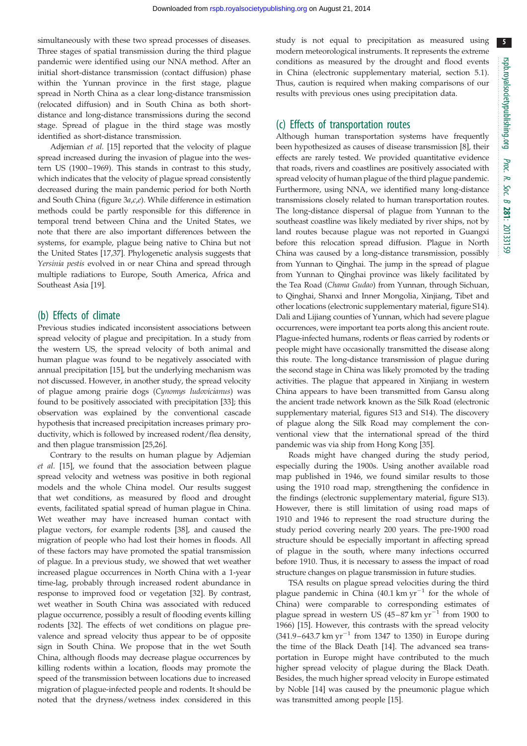simultaneously with these two spread processes of diseases. Three stages of spatial transmission during the third plague pandemic were identified using our NNA method. After an initial short-distance transmission (contact diffusion) phase within the Yunnan province in the first stage, plague spread in North China as a clear long-distance transmission (relocated diffusion) and in South China as both shortdistance and long-distance transmissions during the second stage. Spread of plague in the third stage was mostly identified as short-distance transmission.

Adjemian et al. [[15\]](#page-8-0) reported that the velocity of plague spread increased during the invasion of plague into the western US (1900–1969). This stands in contrast to this study, which indicates that the velocity of plague spread consistently decreased during the main pandemic period for both North and South China (figure  $3a,c,e$ ). While difference in estimation methods could be partly responsible for this difference in temporal trend between China and the United States, we note that there are also important differences between the systems, for example, plague being native to China but not the United States [\[17](#page-8-0),[37](#page-9-0)]. Phylogenetic analysis suggests that Yersinia pestis evolved in or near China and spread through multiple radiations to Europe, South America, Africa and Southeast Asia [[19\]](#page-8-0).

#### (b) Effects of climate

Previous studies indicated inconsistent associations between spread velocity of plague and precipitation. In a study from the western US, the spread velocity of both animal and human plague was found to be negatively associated with annual precipitation [\[15](#page-8-0)], but the underlying mechanism was not discussed. However, in another study, the spread velocity of plague among prairie dogs (Cynomys ludovicianus) was found to be positively associated with precipitation [\[33](#page-9-0)]; this observation was explained by the conventional cascade hypothesis that increased precipitation increases primary productivity, which is followed by increased rodent/flea density, and then plague transmission [[25,26\]](#page-8-0).

Contrary to the results on human plague by Adjemian et al. [\[15](#page-8-0)], we found that the association between plague spread velocity and wetness was positive in both regional models and the whole China model. Our results suggest that wet conditions, as measured by flood and drought events, facilitated spatial spread of human plague in China. Wet weather may have increased human contact with plague vectors, for example rodents [\[38](#page-9-0)], and caused the migration of people who had lost their homes in floods. All of these factors may have promoted the spatial transmission of plague. In a previous study, we showed that wet weather increased plague occurrences in North China with a 1-year time-lag, probably through increased rodent abundance in response to improved food or vegetation [[32](#page-9-0)]. By contrast, wet weather in South China was associated with reduced plague occurrence, possibly a result of flooding events killing rodents [\[32](#page-9-0)]. The effects of wet conditions on plague prevalence and spread velocity thus appear to be of opposite sign in South China. We propose that in the wet South China, although floods may decrease plague occurrences by killing rodents within a location, floods may promote the speed of the transmission between locations due to increased migration of plague-infected people and rodents. It should be noted that the dryness/wetness index considered in this study is not equal to precipitation as measured using modern meteorological instruments. It represents the extreme conditions as measured by the drought and flood events in China (electronic supplementary material, section 5.1). Thus, caution is required when making comparisons of our results with previous ones using precipitation data.

#### (c) Effects of transportation routes

Although human transportation systems have frequently been hypothesized as causes of disease transmission [[8](#page-8-0)], their effects are rarely tested. We provided quantitative evidence that roads, rivers and coastlines are positively associated with spread velocity of human plague of the third plague pandemic. Furthermore, using NNA, we identified many long-distance transmissions closely related to human transportation routes. The long-distance dispersal of plague from Yunnan to the southeast coastline was likely mediated by river ships, not by land routes because plague was not reported in Guangxi before this relocation spread diffusion. Plague in North China was caused by a long-distance transmission, possibly from Yunnan to Qinghai. The jump in the spread of plague from Yunnan to Qinghai province was likely facilitated by the Tea Road (Chama Gudao) from Yunnan, through Sichuan, to Qinghai, Shanxi and Inner Mongolia, Xinjiang, Tibet and other locations (electronic supplementary material, figure S14). Dali and Lijiang counties of Yunnan, which had severe plague occurrences, were important tea ports along this ancient route. Plague-infected humans, rodents or fleas carried by rodents or people might have occasionally transmitted the disease along this route. The long-distance transmission of plague during the second stage in China was likely promoted by the trading activities. The plague that appeared in Xinjiang in western China appears to have been transmitted from Gansu along the ancient trade network known as the Silk Road (electronic supplementary material, figures S13 and S14). The discovery of plague along the Silk Road may complement the conventional view that the international spread of the third pandemic was via ship from Hong Kong [\[35](#page-9-0)].

Roads might have changed during the study period, especially during the 1900s. Using another available road map published in 1946, we found similar results to those using the 1910 road map, strengthening the confidence in the findings (electronic supplementary material, figure S13). However, there is still limitation of using road maps of 1910 and 1946 to represent the road structure during the study period covering nearly 200 years. The pre-1900 road structure should be especially important in affecting spread of plague in the south, where many infections occurred before 1910. Thus, it is necessary to assess the impact of road structure changes on plague transmission in future studies.

TSA results on plague spread velocities during the third plague pandemic in China (40.1 km  $yr^{-1}$  for the whole of China) were comparable to corresponding estimates of plague spread in western US (45-87 km  $yr^{-1}$  from 1900 to 1966) [\[15](#page-8-0)]. However, this contrasts with the spread velocity  $(341.9 - 643.7 \text{ km yr}^{-1}$  from 1347 to 1350) in Europe during the time of the Black Death [\[14](#page-8-0)]. The advanced sea transportation in Europe might have contributed to the much higher spread velocity of plague during the Black Death. Besides, the much higher spread velocity in Europe estimated by Noble [[14\]](#page-8-0) was caused by the pneumonic plague which was transmitted among people [\[15](#page-8-0)].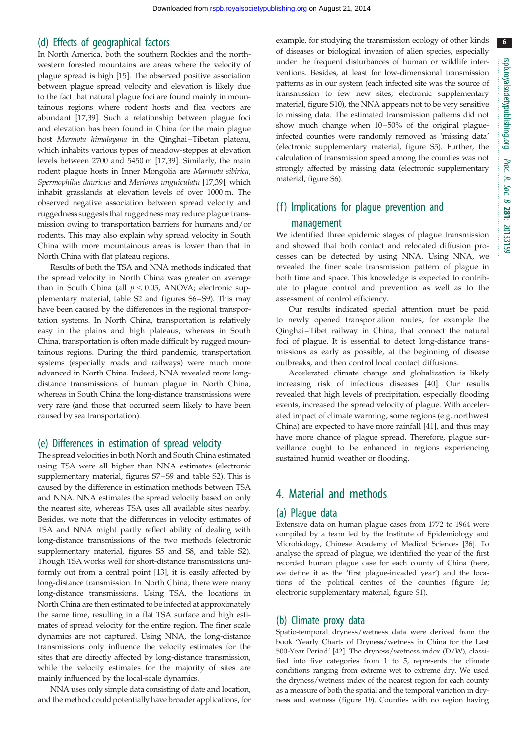## (d) Effects of geographical factors

In North America, both the southern Rockies and the northwestern forested mountains are areas where the velocity of plague spread is high [\[15](#page-8-0)]. The observed positive association between plague spread velocity and elevation is likely due to the fact that natural plague foci are found mainly in mountainous regions where rodent hosts and flea vectors are abundant [\[17](#page-8-0)[,39](#page-9-0)]. Such a relationship between plague foci and elevation has been found in China for the main plague host Marmota himalayana in the Qinghai–Tibetan plateau, which inhabits various types of meadow-steppes at elevation levels between 2700 and 5450 m [\[17](#page-8-0),[39](#page-9-0)]. Similarly, the main rodent plague hosts in Inner Mongolia are Marmota sibirica, Spermophilus dauricus and Meriones unguiculatu [[17](#page-8-0),[39\]](#page-9-0), which inhabit grasslands at elevation levels of over 1000 m. The observed negative association between spread velocity and ruggedness suggests that ruggedness may reduce plague transmission owing to transportation barriers for humans and/or rodents. This may also explain why spread velocity in South China with more mountainous areas is lower than that in North China with flat plateau regions.

Results of both the TSA and NNA methods indicated that the spread velocity in North China was greater on average than in South China (all  $p < 0.05$ , ANOVA; electronic supplementary material, table S2 and figures S6–S9). This may have been caused by the differences in the regional transportation systems. In North China, transportation is relatively easy in the plains and high plateaus, whereas in South China, transportation is often made difficult by rugged mountainous regions. During the third pandemic, transportation systems (especially roads and railways) were much more advanced in North China. Indeed, NNA revealed more longdistance transmissions of human plague in North China, whereas in South China the long-distance transmissions were very rare (and those that occurred seem likely to have been caused by sea transportation).

#### (e) Differences in estimation of spread velocity

The spread velocities in both North and South China estimated using TSA were all higher than NNA estimates (electronic supplementary material, figures S7–S9 and table S2). This is caused by the difference in estimation methods between TSA and NNA. NNA estimates the spread velocity based on only the nearest site, whereas TSA uses all available sites nearby. Besides, we note that the differences in velocity estimates of TSA and NNA might partly reflect ability of dealing with long-distance transmissions of the two methods (electronic supplementary material, figures S5 and S8, and table S2). Though TSA works well for short-distance transmissions uniformly out from a central point [\[13\]](#page-8-0), it is easily affected by long-distance transmission. In North China, there were many long-distance transmissions. Using TSA, the locations in North China are then estimated to be infected at approximately the same time, resulting in a flat TSA surface and high estimates of spread velocity for the entire region. The finer scale dynamics are not captured. Using NNA, the long-distance transmissions only influence the velocity estimates for the sites that are directly affected by long-distance transmission, while the velocity estimates for the majority of sites are mainly influenced by the local-scale dynamics.

NNA uses only simple data consisting of date and location, and the method could potentially have broader applications, for

example, for studying the transmission ecology of other kinds of diseases or biological invasion of alien species, especially under the frequent disturbances of human or wildlife interventions. Besides, at least for low-dimensional transmission patterns as in our system (each infected site was the source of transmission to few new sites; electronic supplementary material, figure S10), the NNA appears not to be very sensitive to missing data. The estimated transmission patterns did not show much change when 10–50% of the original plagueinfected counties were randomly removed as 'missing data' (electronic supplementary material, figure S5). Further, the calculation of transmission speed among the counties was not strongly affected by missing data (electronic supplementary material, figure S6).

# (f) Implications for plague prevention and management

We identified three epidemic stages of plague transmission and showed that both contact and relocated diffusion processes can be detected by using NNA. Using NNA, we revealed the finer scale transmission pattern of plague in both time and space. This knowledge is expected to contribute to plague control and prevention as well as to the assessment of control efficiency.

Our results indicated special attention must be paid to newly opened transportation routes, for example the Qinghai-Tibet railway in China, that connect the natural foci of plague. It is essential to detect long-distance transmissions as early as possible, at the beginning of disease outbreaks, and then control local contact diffusions.

Accelerated climate change and globalization is likely increasing risk of infectious diseases [[40\]](#page-9-0). Our results revealed that high levels of precipitation, especially flooding events, increased the spread velocity of plague. With accelerated impact of climate warming, some regions (e.g. northwest China) are expected to have more rainfall [\[41](#page-9-0)], and thus may have more chance of plague spread. Therefore, plague surveillance ought to be enhanced in regions experiencing sustained humid weather or flooding.

## 4. Material and methods

#### (a) Plague data

Extensive data on human plague cases from 1772 to 1964 were compiled by a team led by the Institute of Epidemiology and Microbiology, Chinese Academy of Medical Sciences [\[36\]](#page-9-0). To analyse the spread of plague, we identified the year of the first recorded human plague case for each county of China (here, we define it as the 'first plague-invaded year') and the locations of the political centres of the counties [\(figure 1](#page-2-0)a; electronic supplementary material, figure S1).

### (b) Climate proxy data

Spatio-temporal dryness/wetness data were derived from the book 'Yearly Charts of Dryness/wetness in China for the Last 500-Year Period' [\[42\]](#page-9-0). The dryness/wetness index (D/W), classified into five categories from 1 to 5, represents the climate conditions ranging from extreme wet to extreme dry. We used the dryness/wetness index of the nearest region for each county as a measure of both the spatial and the temporal variation in dryness and wetness ([figure 1](#page-2-0)b). Counties with no region having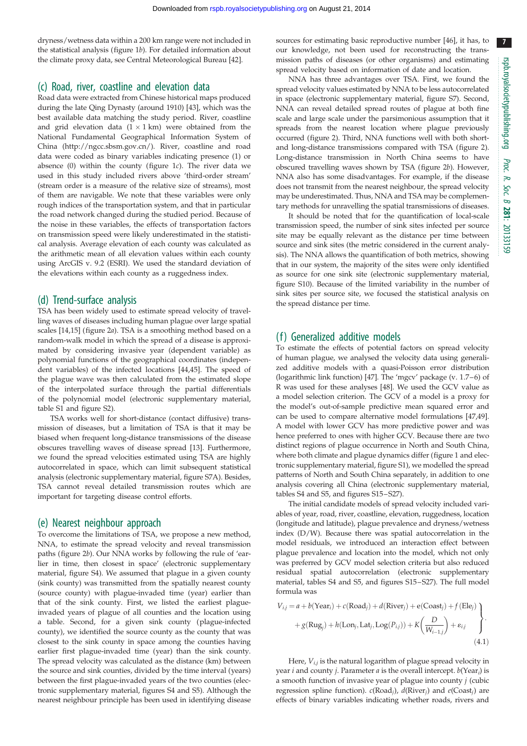dryness/wetness data within a 200 km range were not included in the statistical analysis (figure  $1b$ ). For detailed information about the climate proxy data, see Central Meteorological Bureau [\[42\]](#page-9-0).

#### (c) Road, river, coastline and elevation data

Road data were extracted from Chinese historical maps produced during the late Qing Dynasty (around 1910) [\[43\]](#page-9-0), which was the best available data matching the study period. River, coastline and grid elevation data  $(1 \times 1 \text{ km})$  were obtained from the National Fundamental Geographical Information System of China [\(http://ngcc.sbsm.gov.cn/](http://ngcc.sbsm.gov.cn/)). River, coastline and road data were coded as binary variables indicating presence (1) or absence  $(0)$  within the county ([figure 1](#page-2-0)c). The river data we used in this study included rivers above 'third-order stream' (stream order is a measure of the relative size of streams), most of them are navigable. We note that these variables were only rough indices of the transportation system, and that in particular the road network changed during the studied period. Because of the noise in these variables, the effects of transportation factors on transmission speed were likely underestimated in the statistical analysis. Average elevation of each county was calculated as the arithmetic mean of all elevation values within each county using ArcGIS v. 9.2 (ESRI). We used the standard deviation of the elevations within each county as a ruggedness index.

#### (d) Trend-surface analysis

TSA has been widely used to estimate spread velocity of travelling waves of diseases including human plague over large spatial scales [\[14,15](#page-8-0)] [\(figure 2](#page-3-0)a). TSA is a smoothing method based on a random-walk model in which the spread of a disease is approximated by considering invasive year (dependent variable) as polynomial functions of the geographical coordinates (independent variables) of the infected locations [\[44,45](#page-9-0)]. The speed of the plague wave was then calculated from the estimated slope of the interpolated surface through the partial differentials of the polynomial model (electronic supplementary material, table S1 and figure S2).

TSA works well for short-distance (contact diffusive) transmission of diseases, but a limitation of TSA is that it may be biased when frequent long-distance transmissions of the disease obscures travelling waves of disease spread [\[13\]](#page-8-0). Furthermore, we found the spread velocities estimated using TSA are highly autocorrelated in space, which can limit subsequent statistical analysis (electronic supplementary material, figure S7A). Besides, TSA cannot reveal detailed transmission routes which are important for targeting disease control efforts.

#### (e) Nearest neighbour approach

To overcome the limitations of TSA, we propose a new method, NNA, to estimate the spread velocity and reveal transmission paths [\(figure 2](#page-3-0)b). Our NNA works by following the rule of 'earlier in time, then closest in space' (electronic supplementary material, figure S4). We assumed that plague in a given county (sink county) was transmitted from the spatially nearest county (source county) with plague-invaded time (year) earlier than that of the sink county. First, we listed the earliest plagueinvaded years of plague of all counties and the location using a table. Second, for a given sink county (plague-infected county), we identified the source county as the county that was closest to the sink county in space among the counties having earlier first plague-invaded time (year) than the sink county. The spread velocity was calculated as the distance (km) between the source and sink counties, divided by the time interval (years) between the first plague-invaded years of the two counties (electronic supplementary material, figures S4 and S5). Although the nearest neighbour principle has been used in identifying disease

sources for estimating basic reproductive number [[46](#page-9-0)], it has, to our knowledge, not been used for reconstructing the transmission paths of diseases (or other organisms) and estimating spread velocity based on information of date and location.

NNA has three advantages over TSA. First, we found the spread velocity values estimated by NNA to be less autocorrelated in space (electronic supplementary material, figure S7). Second, NNA can reveal detailed spread routes of plague at both fine scale and large scale under the parsimonious assumption that it spreads from the nearest location where plague previously occurred ([figure 2](#page-3-0)). Third, NNA functions well with both shortand long-distance transmissions compared with TSA [\(figure 2\)](#page-3-0). Long-distance transmission in North China seems to have obscured travelling waves shown by TSA [\(figure 2](#page-3-0)b). However, NNA also has some disadvantages. For example, if the disease does not transmit from the nearest neighbour, the spread velocity may be underestimated. Thus, NNA and TSA may be complementary methods for unravelling the spatial transmissions of diseases.

It should be noted that for the quantification of local-scale transmission speed, the number of sink sites infected per source site may be equally relevant as the distance per time between source and sink sites (the metric considered in the current analysis). The NNA allows the quantification of both metrics, showing that in our system, the majority of the sites were only identified as source for one sink site (electronic supplementary material, figure S10). Because of the limited variability in the number of sink sites per source site, we focused the statistical analysis on the spread distance per time.

#### (f) Generalized additive models

To estimate the effects of potential factors on spread velocity of human plague, we analysed the velocity data using generalized additive models with a quasi-Poisson error distribution (logarithmic link function) [[47](#page-9-0)]. The 'mgcv' package (v. 1.7–6) of R was used for these analyses [\[48\]](#page-9-0). We used the GCV value as a model selection criterion. The GCV of a model is a proxy for the model's out-of-sample predictive mean squared error and can be used to compare alternative model formulations [\[47,49\]](#page-9-0). A model with lower GCV has more predictive power and was hence preferred to ones with higher GCV. Because there are two distinct regions of plague occurrence in North and South China, where both climate and plague dynamics differ [\(figure 1](#page-2-0) and electronic supplementary material, figure S1), we modelled the spread patterns of North and South China separately, in addition to one analysis covering all China (electronic supplementary material, tables S4 and S5, and figures S15–S27).

The initial candidate models of spread velocity included variables of year, road, river, coastline, elevation, ruggedness, location (longitude and latitude), plague prevalence and dryness/wetness index (D/W). Because there was spatial autocorrelation in the model residuals, we introduced an interaction effect between plague prevalence and location into the model, which not only was preferred by GCV model selection criteria but also reduced residual spatial autocorrelation (electronic supplementary material, tables S4 and S5, and figures S15–S27). The full model formula was

$$
V_{i,j} = a + b(\text{Year}_i) + c(\text{Root}_j) + d(\text{River}_j) + e(\text{Coast}_j) + f(\text{Ele}_j) + g(\text{Rug}_j) + h(\text{Long}, \text{Lat}_j, \text{Log}(P_{i,j})) + K\left(\frac{D}{W_{i-1,j}}\right) + \varepsilon_{i,j}
$$
\n(4.1)

Here,  $V_{i,j}$  is the natural logarithm of plague spread velocity in year *i* and county *j*. Parameter *a* is the overall intercept.  $b(Year_i)$  is a smooth function of invasive year of plague into county  $j$  (cubic regression spline function).  $c(Road<sub>i</sub>)$ ,  $d(River<sub>i</sub>)$  and  $e(Coast<sub>i</sub>)$  are effects of binary variables indicating whether roads, rivers and 7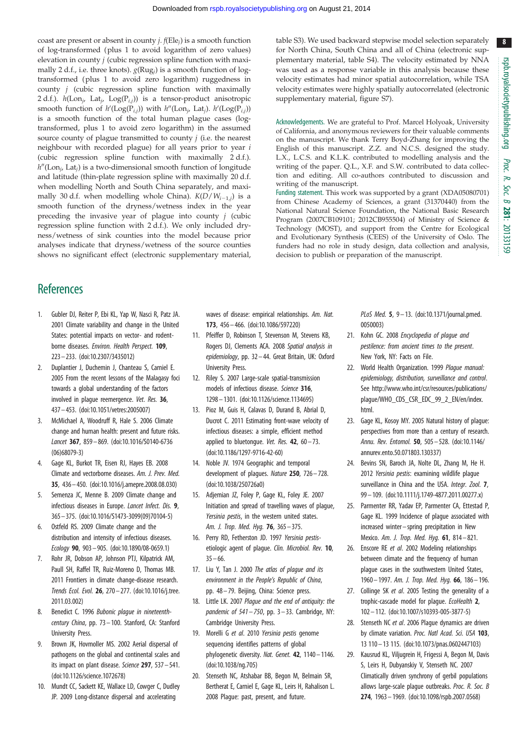<span id="page-8-0"></span>coast are present or absent in county *j.*  $f(Ele<sub>i</sub>)$  is a smooth function of log-transformed (plus 1 to avoid logarithm of zero values) elevation in county  $j$  (cubic regression spline function with maximally 2 d.f., i.e. three knots).  $g(Rug_i)$  is a smooth function of logtransformed (plus 1 to avoid zero logarithm) ruggedness in county j (cubic regression spline function with maximally 2 d.f.).  $h(\text{Lon}_{i}, \text{Lat}_{i}, \text{Log}(P_{i,i}))$  is a tensor-product anisotropic smooth function of  $h'(Log(P_{i,j}))$  with  $h''(Lon_j, Lat_j)$ .  $h'(Log(P_{i,j}))$ is a smooth function of the total human plague cases (logtransformed, plus 1 to avoid zero logarithm) in the assumed source county of plague transmitted to county  $j$  (i.e. the nearest neighbour with recorded plague) for all years prior to year i (cubic regression spline function with maximally 2 d.f.).  $h''(Lon_i, Lat_i)$  is a two-dimensional smooth function of longitude and latitude (thin-plate regression spline with maximally 20 d.f. when modelling North and South China separately, and maximally 30 d.f. when modelling whole China).  $K(D/W_{i-1,i})$  is a smooth function of the dryness/wetness index in the year preceding the invasive year of plague into county  $j$  (cubic regression spline function with 2 d.f.). We only included dryness/wetness of sink counties into the model because prior analyses indicate that dryness/wetness of the source counties shows no significant effect (electronic supplementary material, table S3). We used backward stepwise model selection separately for North China, South China and all of China (electronic supplementary material, table S4). The velocity estimated by NNA was used as a response variable in this analysis because these velocity estimates had minor spatial autocorrelation, while TSA velocity estimates were highly spatially autocorrelated (electronic supplementary material, figure S7).

Acknowledgements. We are grateful to Prof. Marcel Holyoak, University of California, and anonymous reviewers for their valuable comments on the manuscript. We thank Terry Boyd-Zhang for improving the English of this manuscript. Z.Z. and N.C.S. designed the study. L.X., L.C.S. and K.L.K. contributed to modelling analysis and the writing of the paper. Q.L., X.F. and S.W. contributed to data collection and editing. All co-authors contributed to discussion and writing of the manuscript.

Funding statement. This work was supported by a grant (XDA05080701) from Chinese Academy of Sciences, a grant (31370440) from the National Natural Science Foundation, the National Basic Research Program (2007CB109101; 2012CB955504) of Ministry of Science & Technology (MOST), and support from the Centre for Ecological and Evolutionary Synthesis (CEES) of the University of Oslo. The funders had no role in study design, data collection and analysis, decision to publish or preparation of the manuscript.

# **References**

- 1. Gubler DJ, Reiter P, Ebi KL, Yap W, Nasci R, Patz JA. 2001 Climate variability and change in the United States: potential impacts on vector- and rodentborne diseases. Environ. Health Perspect. 109, 223– 233. ([doi:10.2307/3435012\)](http://dx.doi.org/10.2307/3435012)
- 2. Duplantier J, Duchemin J, Chanteau S, Carniel E. 2005 From the recent lessons of the Malagasy foci towards a global understanding of the factors involved in plague reemergence. Vet. Res. 36, 437– 453. ([doi:10.1051/vetres:2005007](http://dx.doi.org/10.1051/vetres:2005007))
- 3. McMichael A, Woodruff R, Hale S. 2006 Climate change and human health: present and future risks. Lancet 367, 859 – 869. ([doi:10.1016/S0140-6736](http://dx.doi.org/10.1016/S0140-6736(06)68079-3) [\(06\)68079-3](http://dx.doi.org/10.1016/S0140-6736(06)68079-3))
- 4. Gage KL, Burkot TR, Eisen RJ, Hayes EB. 2008 Climate and vectorborne diseases. Am. J. Prev. Med. 35, 436– 450. ([doi:10.1016/j.amepre.2008.08.030\)](http://dx.doi.org/10.1016/j.amepre.2008.08.030)
- 5. Semenza JC, Menne B. 2009 Climate change and infectious diseases in Europe. Lancet Infect. Dis. 9, 365– 375. ([doi:10.1016/S1473-3099\(09\)70104-5\)](http://dx.doi.org/10.1016/S1473-3099(09)70104-5)
- 6. Ostfeld RS. 2009 Climate change and the distribution and intensity of infectious diseases. Ecology 90, 903– 905. ([doi:10.1890/08-0659.1](http://dx.doi.org/10.1890/08-0659.1))
- 7. Rohr JR, Dobson AP, Johnson PTJ, Kilpatrick AM, Paull SH, Raffel TR, Ruiz-Moreno D, Thomas MB. 2011 Frontiers in climate change-disease research. Trends Ecol. Evol. 26, 270 – 277. ([doi:10.1016/j.tree.](http://dx.doi.org/10.1016/j.tree.2011.03.002) [2011.03.002\)](http://dx.doi.org/10.1016/j.tree.2011.03.002)
- Benedict C. 1996 Bubonic plaque in nineteenthcentury China, pp. 73 – 100. Stanford, CA: Stanford University Press.
- 9. Brown JK, Hovmoller MS. 2002 Aerial dispersal of pathogens on the global and continental scales and its impact on plant disease. Science 297, 537– 541. [\(doi:10.1126/science.1072678\)](http://dx.doi.org/10.1126/science.1072678)
- 10. Mundt CC, Sackett KE, Wallace LD, Cowger C, Dudley JP. 2009 Long-distance dispersal and accelerating

waves of disease: empirical relationships. Am. Nat. 173, 456 – 466. [\(doi:10.1086/597220](http://dx.doi.org/10.1086/597220))

- 11. Pfeiffer D, Robinson T, Stevenson M, Stevens KB, Rogers DJ, Clements ACA. 2008 Spatial analysis in epidemiology, pp. 32 – 44. Great Britain, UK: Oxford University Press.
- 12. Riley S. 2007 Large-scale spatial-transmission models of infectious disease. Science 316, 1298– 1301. [\(doi:10.1126/science.1134695](http://dx.doi.org/10.1126/science.1134695))
- 13. Pioz M, Guis H, Calavas D, Durand B, Abrial D, Ducrot C. 2011 Estimating front-wave velocity of infectious diseases: a simple, efficient method applied to bluetongue. Vet. Res.  $42$ ,  $60 - 73$ . [\(doi:10.1186/1297-9716-42-60](http://dx.doi.org/10.1186/1297-9716-42-60))
- 14. Noble JV. 1974 Geographic and temporal development of plagues. Nature 250, 726– 728. [\(doi:10.1038/250726a0\)](http://dx.doi.org/10.1038/250726a0)
- 15. Adjemian JZ, Foley P, Gage KL, Foley JE. 2007 Initiation and spread of travelling waves of plague, Yersinia pestis, in the western united states. Am. J. Trop. Med. Hyg. 76, 365– 375.
- 16. Perry RD, Fetherston JD. 1997 Yersinia pestisetiologic agent of plague. Clin. Microbiol. Rev. 10,  $35 - 66.$
- 17. Liu Y, Tan J. 2000 The atlas of plaque and its environment in the People's Republic of China, pp. 48– 79. Beijing, China: Science press.
- 18. Little LK. 2007 Plague and the end of antiquity: the pandemic of  $541 - 750$ , pp.  $3 - 33$ . Cambridge, NY: Cambridge University Press.
- 19. Morelli G et al. 2010 Yersinia pestis genome sequencing identifies patterns of global phylogenetic diversity. Nat. Genet. 42, 1140 – 1146. [\(doi:10.1038/ng.705\)](http://dx.doi.org/10.1038/ng.705)
- 20. Stenseth NC, Atshabar BB, Begon M, Belmain SR, Bertherat E, Carniel E, Gage KL, Leirs H, Rahalison L. 2008 Plague: past, present, and future.

PLoS Med. 5, 9-13. [\(doi:10.1371/journal.pmed.](http://dx.doi.org/10.1371/journal.pmed.0050003) [0050003](http://dx.doi.org/10.1371/journal.pmed.0050003))

- 21. Kohn GC. 2008 Encyclopedia of plague and pestilence: from ancient times to the present. New York, NY: Facts on File.
- 22. World Health Organization. 1999 Plaque manual: epidemiology, distribution, surveillance and control. See [http://www.who.int/csr/resources/publications/](http://www.who.int/csr/resources/publications/plague/WHO_CDS_CSR_EDC_99_2_EN/en/index.html) [plague/WHO\\_CDS\\_CSR\\_EDC\\_99\\_2\\_EN/en/index.](http://www.who.int/csr/resources/publications/plague/WHO_CDS_CSR_EDC_99_2_EN/en/index.html) [html.](http://www.who.int/csr/resources/publications/plague/WHO_CDS_CSR_EDC_99_2_EN/en/index.html)
- 23. Gage KL, Kosoy MY. 2005 Natural history of plague: perspectives from more than a century of research. Annu. Rev. Entomol. 50, 505– 528. [\(doi:10.1146/](http://dx.doi.org/10.1146/annurev.ento.50.071803.130337) [annurev.ento.50.071803.130337](http://dx.doi.org/10.1146/annurev.ento.50.071803.130337))
- 24. Bevins SN, Baroch JA, Nolte DL, Zhang M, He H. 2012 Yersinia pestis: examining wildlife plague surveillance in China and the USA. Integr. Zool. 7, 99– 109. ([doi:10.1111/j.1749-4877.2011.00277.x\)](http://dx.doi.org/10.1111/j.1749-4877.2011.00277.x)
- 25. Parmenter RR, Yadav EP, Parmenter CA, Ettestad P, Gage KL. 1999 Incidence of plague associated with increased winter –spring precipitation in New Mexico. Am. J. Trop. Med. Hyg. **61**, 814-821.
- 26. Enscore RE et al. 2002 Modeling relationships between climate and the frequency of human plague cases in the southwestern United States, 1960– 1997. Am. J. Trop. Med. Hyg. 66, 186 – 196.
- 27. Collinge SK et al. 2005 Testing the generality of a trophic-cascade model for plague. EcoHealth 2, 102– 112. [\(doi:10.1007/s10393-005-3877-5](http://dx.doi.org/10.1007/s10393-005-3877-5))
- 28. Stenseth NC et al. 2006 Plague dynamics are driven by climate variation. Proc. Natl Acad. Sci. USA 103, 13 110 – 13 115. [\(doi:10.1073/pnas.0602447103](http://dx.doi.org/10.1073/pnas.0602447103))
- 29. Kausrud KL, Viljugrein H, Frigessi A, Begon M, Davis S, Leirs H, Dubyanskiy V, Stenseth NC. 2007 Climatically driven synchrony of gerbil populations allows large-scale plague outbreaks. Proc. R. Soc. B 274, 1963– 1969. ([doi:10.1098/rspb.2007.0568\)](http://dx.doi.org/10.1098/rspb.2007.0568)